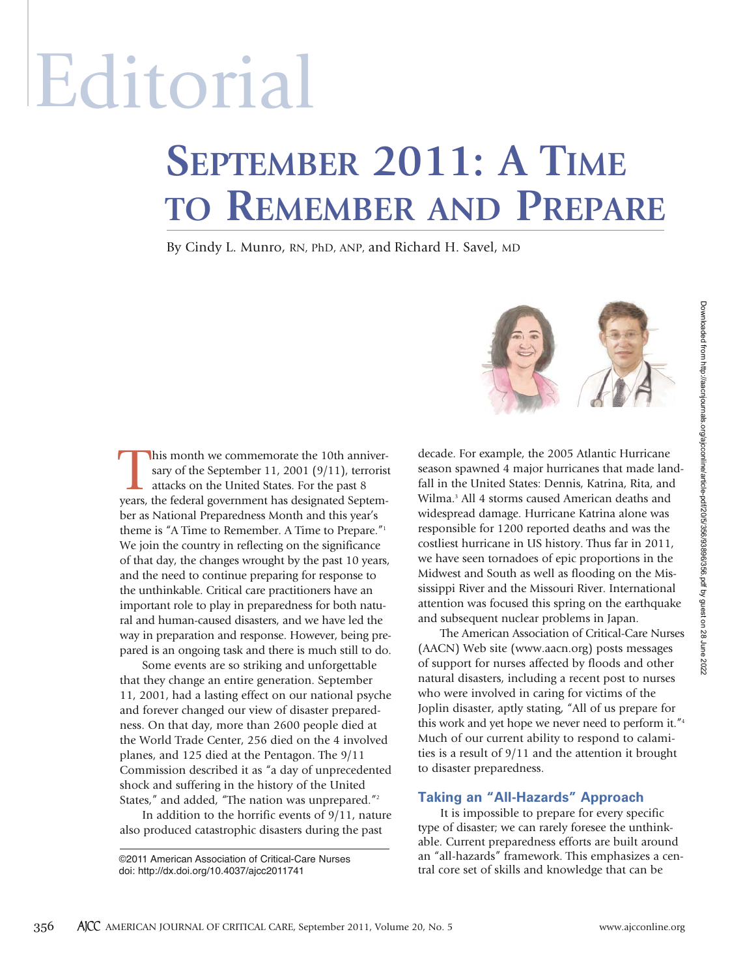# Editorial

# **SEPTEMBER 2011: A TIME TO REMEMBER AND PREPARE**

By Cindy L. Munro, RN, PhD, ANP, and Richard H. Savel, MD



This month we commemorate the 10th anniver-<br>sary of the September 11, 2001 (9/11), terrorist<br>attacks on the United States. For the past 8<br>vears, the federal government has designated Septemsary of the September 11, 2001 (9/11), terrorist attacks on the United States. For the past 8 years, the federal government has designated September as National Preparedness Month and this year's theme is "A Time to Remember. A Time to Prepare."1 We join the country in reflecting on the significance of that day, the changes wrought by the past 10 years, and the need to continue preparing for response to the unthinkable. Critical care practitioners have an important role to play in preparedness for both natural and human-caused disasters, and we have led the way in preparation and response. However, being prepared is an ongoing task and there is much still to do.

Some events are so striking and unforgettable that they change an entire generation. September 11, 2001, had a lasting effect on our national psyche and forever changed our view of disaster preparedness. On that day, more than 2600 people died at the World Trade Center, 256 died on the 4 involved planes, and 125 died at the Pentagon. The 9/11 Commission described it as "a day of unprecedented shock and suffering in the history of the United States," and added, "The nation was unprepared."<sup>2</sup>

In addition to the horrific events of 9/11, nature also produced catastrophic disasters during the past

decade. For example, the 2005 Atlantic Hurricane season spawned 4 major hurricanes that made landfall in the United States: Dennis, Katrina, Rita, and Wilma.3 All 4 storms caused American deaths and widespread damage. Hurricane Katrina alone was responsible for 1200 reported deaths and was the costliest hurricane in US history. Thus far in 2011, we have seen tornadoes of epic proportions in the Midwest and South as well as flooding on the Mississippi River and the Missouri River. International attention was focused this spring on the earthquake and subsequent nuclear problems in Japan.

The American Association of Critical-Care Nurses (AACN) Web site (www.aacn.org) posts messages of support for nurses affected by floods and other natural disasters, including a recent post to nurses who were involved in caring for victims of the Joplin disaster, aptly stating, "All of us prepare for this work and yet hope we never need to perform it."4 Much of our current ability to respond to calamities is a result of 9/11 and the attention it brought to disaster preparedness.

#### **Taking an "All-Hazards" Approach**

It is impossible to prepare for every specific type of disaster; we can rarely foresee the unthinkable. Current preparedness efforts are built around an "all-hazards" framework. This emphasizes a central core set of skills and knowledge that can be

<sup>©2011</sup> American Association of Critical-Care Nurses doi: http://dx.doi.org/10.4037/ajcc2011741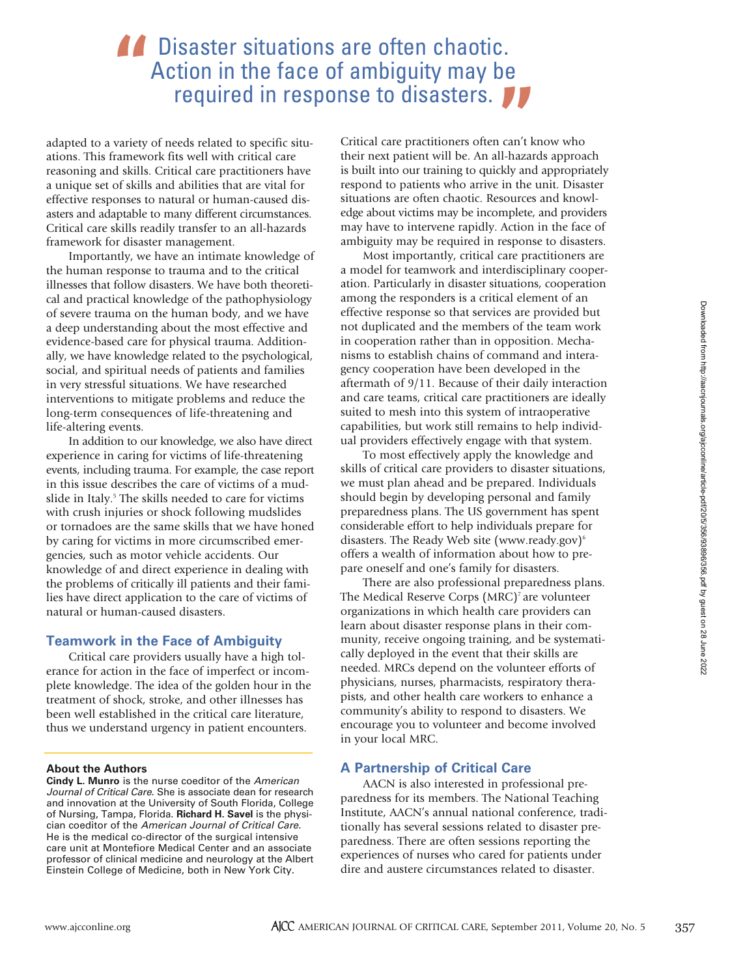### **1** Disaster situations are often chaotic.<br>Action in the face of ambiguity may be Action in the face of ambiguity may be **1998** Tequired in response to disasters.

adapted to a variety of needs related to specific situations. This framework fits well with critical care reasoning and skills. Critical care practitioners have a unique set of skills and abilities that are vital for effective responses to natural or human-caused disasters and adaptable to many different circumstances. Critical care skills readily transfer to an all-hazards framework for disaster management.

Importantly, we have an intimate knowledge of the human response to trauma and to the critical illnesses that follow disasters. We have both theoretical and practical knowledge of the pathophysiology of severe trauma on the human body, and we have a deep understanding about the most effective and evidence-based care for physical trauma. Additionally, we have knowledge related to the psychological, social, and spiritual needs of patients and families in very stressful situations. We have researched interventions to mitigate problems and reduce the long-term consequences of life-threatening and life-altering events.

In addition to our knowledge, we also have direct experience in caring for victims of life-threatening events, including trauma. For example, the case report in this issue describes the care of victims of a mudslide in Italy.<sup>5</sup> The skills needed to care for victims with crush injuries or shock following mudslides or tornadoes are the same skills that we have honed by caring for victims in more circumscribed emergencies, such as motor vehicle accidents. Our knowledge of and direct experience in dealing with the problems of critically ill patients and their families have direct application to the care of victims of natural or human-caused disasters.

#### **Teamwork in the Face of Ambiguity**

Critical care providers usually have a high tolerance for action in the face of imperfect or incomplete knowledge. The idea of the golden hour in the treatment of shock, stroke, and other illnesses has been well established in the critical care literature, thus we understand urgency in patient encounters.

#### **About the Authors**

**Cindy L. Munro** is the nurse coeditor of the *American Journal of Critical Care*. She is associate dean for research and innovation at the University of South Florida, College of Nursing, Tampa, Florida. **Richard H. Savel** is the physician coeditor of the *American Journal of Critical Care*. He is the medical co-director of the surgical intensive care unit at Montefiore Medical Center and an associate professor of clinical medicine and neurology at the Albert Einstein College of Medicine, both in New York City.

Critical care practitioners often can't know who their next patient will be. An all-hazards approach is built into our training to quickly and appropriately respond to patients who arrive in the unit. Disaster situations are often chaotic. Resources and knowledge about victims may be incomplete, and providers may have to intervene rapidly. Action in the face of ambiguity may be required in response to disasters.

Most importantly, critical care practitioners are a model for teamwork and interdisciplinary cooperation. Particularly in disaster situations, cooperation among the responders is a critical element of an effective response so that services are provided but not duplicated and the members of the team work in cooperation rather than in opposition. Mechanisms to establish chains of command and interagency cooperation have been developed in the aftermath of 9/11. Because of their daily interaction and care teams, critical care practitioners are ideally suited to mesh into this system of intraoperative capabilities, but work still remains to help individual providers effectively engage with that system.

To most effectively apply the knowledge and skills of critical care providers to disaster situations, we must plan ahead and be prepared. Individuals should begin by developing personal and family preparedness plans. The US government has spent considerable effort to help individuals prepare for disasters. The Ready Web site (www.ready.gov)<sup>6</sup> offers a wealth of information about how to prepare oneself and one's family for disasters.

There are also professional preparedness plans. The Medical Reserve Corps (MRC)<sup>7</sup> are volunteer organizations in which health care providers can learn about disaster response plans in their community, receive ongoing training, and be systematically deployed in the event that their skills are needed. MRCs depend on the volunteer efforts of physicians, nurses, pharmacists, respiratory therapists, and other health care workers to enhance a community's ability to respond to disasters. We encourage you to volunteer and become involved in your local MRC.

#### **A Partnership of Critical Care**

AACN is also interested in professional preparedness for its members. The National Teaching Institute, AACN's annual national conference, traditionally has several sessions related to disaster preparedness. There are often sessions reporting the experiences of nurses who cared for patients under dire and austere circumstances related to disaster.